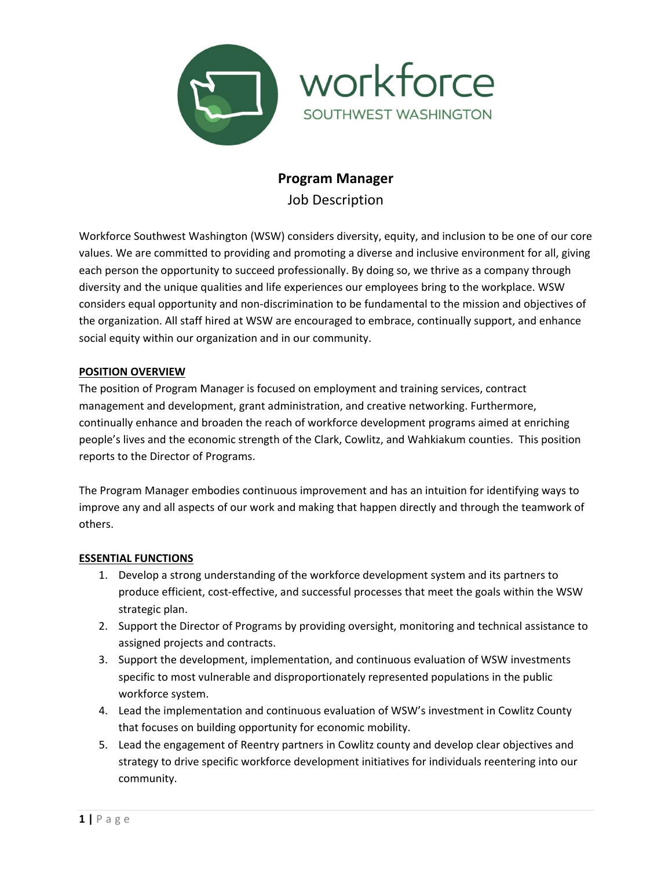

# **Program Manager**

Job Description

Workforce Southwest Washington (WSW) considers diversity, equity, and inclusion to be one of our core values. We are committed to providing and promoting a diverse and inclusive environment for all, giving each person the opportunity to succeed professionally. By doing so, we thrive as a company through diversity and the unique qualities and life experiences our employees bring to the workplace. WSW considers equal opportunity and non-discrimination to be fundamental to the mission and objectives of the organization. All staff hired at WSW are encouraged to embrace, continually support, and enhance social equity within our organization and in our community.

## **POSITION OVERVIEW**

The position of Program Manager is focused on employment and training services, contract management and development, grant administration, and creative networking. Furthermore, continually enhance and broaden the reach of workforce development programs aimed at enriching people's lives and the economic strength of the Clark, Cowlitz, and Wahkiakum counties. This position reports to the Director of Programs.

The Program Manager embodies continuous improvement and has an intuition for identifying ways to improve any and all aspects of our work and making that happen directly and through the teamwork of others.

## **ESSENTIAL FUNCTIONS**

- 1. Develop a strong understanding of the workforce development system and its partners to produce efficient, cost-effective, and successful processes that meet the goals within the WSW strategic plan.
- 2. Support the Director of Programs by providing oversight, monitoring and technical assistance to assigned projects and contracts.
- 3. Support the development, implementation, and continuous evaluation of WSW investments specific to most vulnerable and disproportionately represented populations in the public workforce system.
- 4. Lead the implementation and continuous evaluation of WSW's investment in Cowlitz County that focuses on building opportunity for economic mobility.
- 5. Lead the engagement of Reentry partners in Cowlitz county and develop clear objectives and strategy to drive specific workforce development initiatives for individuals reentering into our community.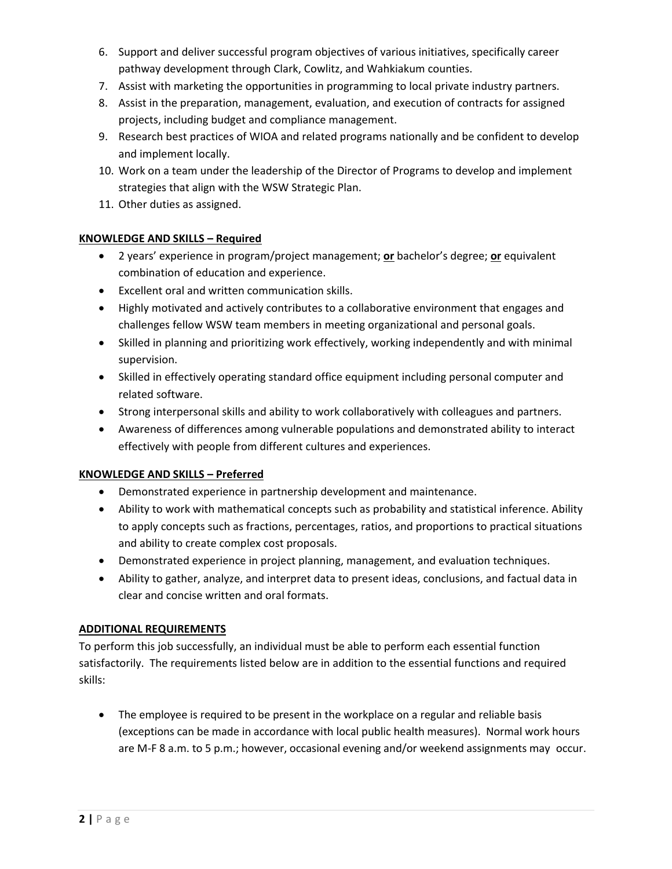- 6. Support and deliver successful program objectives of various initiatives, specifically career pathway development through Clark, Cowlitz, and Wahkiakum counties.
- 7. Assist with marketing the opportunities in programming to local private industry partners.
- 8. Assist in the preparation, management, evaluation, and execution of contracts for assigned projects, including budget and compliance management.
- 9. Research best practices of WIOA and related programs nationally and be confident to develop and implement locally.
- 10. Work on a team under the leadership of the Director of Programs to develop and implement strategies that align with the WSW Strategic Plan.
- 11. Other duties as assigned.

## **KNOWLEDGE AND SKILLS – Required**

- 2 years' experience in program/project management; **or** bachelor's degree; **or** equivalent combination of education and experience.
- Excellent oral and written communication skills.
- Highly motivated and actively contributes to a collaborative environment that engages and challenges fellow WSW team members in meeting organizational and personal goals.
- Skilled in planning and prioritizing work effectively, working independently and with minimal supervision.
- Skilled in effectively operating standard office equipment including personal computer and related software.
- Strong interpersonal skills and ability to work collaboratively with colleagues and partners.
- Awareness of differences among vulnerable populations and demonstrated ability to interact effectively with people from different cultures and experiences.

## **KNOWLEDGE AND SKILLS – Preferred**

- Demonstrated experience in partnership development and maintenance.
- Ability to work with mathematical concepts such as probability and statistical inference. Ability to apply concepts such as fractions, percentages, ratios, and proportions to practical situations and ability to create complex cost proposals.
- Demonstrated experience in project planning, management, and evaluation techniques.
- Ability to gather, analyze, and interpret data to present ideas, conclusions, and factual data in clear and concise written and oral formats.

## **ADDITIONAL REQUIREMENTS**

To perform this job successfully, an individual must be able to perform each essential function satisfactorily. The requirements listed below are in addition to the essential functions and required skills:

• The employee is required to be present in the workplace on a regular and reliable basis (exceptions can be made in accordance with local public health measures). Normal work hours are M-F 8 a.m. to 5 p.m.; however, occasional evening and/or weekend assignments may occur.